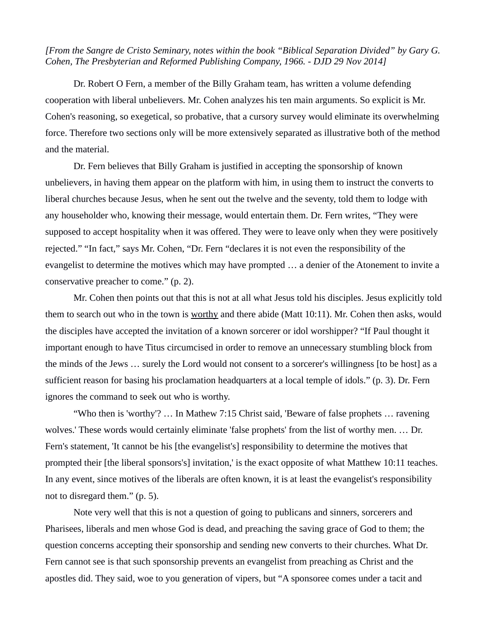*[From the Sangre de Cristo Seminary, notes within the book "Biblical Separation Divided" by Gary G. Cohen, The Presbyterian and Reformed Publishing Company, 1966. - DJD 29 Nov 2014]*

Dr. Robert O Fern, a member of the Billy Graham team, has written a volume defending cooperation with liberal unbelievers. Mr. Cohen analyzes his ten main arguments. So explicit is Mr. Cohen's reasoning, so exegetical, so probative, that a cursory survey would eliminate its overwhelming force. Therefore two sections only will be more extensively separated as illustrative both of the method and the material.

Dr. Fern believes that Billy Graham is justified in accepting the sponsorship of known unbelievers, in having them appear on the platform with him, in using them to instruct the converts to liberal churches because Jesus, when he sent out the twelve and the seventy, told them to lodge with any householder who, knowing their message, would entertain them. Dr. Fern writes, "They were supposed to accept hospitality when it was offered. They were to leave only when they were positively rejected." "In fact," says Mr. Cohen, "Dr. Fern "declares it is not even the responsibility of the evangelist to determine the motives which may have prompted … a denier of the Atonement to invite a conservative preacher to come." (p. 2).

Mr. Cohen then points out that this is not at all what Jesus told his disciples. Jesus explicitly told them to search out who in the town is worthy and there abide (Matt 10:11). Mr. Cohen then asks, would the disciples have accepted the invitation of a known sorcerer or idol worshipper? "If Paul thought it important enough to have Titus circumcised in order to remove an unnecessary stumbling block from the minds of the Jews … surely the Lord would not consent to a sorcerer's willingness [to be host] as a sufficient reason for basing his proclamation headquarters at a local temple of idols." (p. 3). Dr. Fern ignores the command to seek out who is worthy.

"Who then is 'worthy'? … In Mathew 7:15 Christ said, 'Beware of false prophets … ravening wolves.' These words would certainly eliminate 'false prophets' from the list of worthy men. … Dr. Fern's statement, 'It cannot be his [the evangelist's] responsibility to determine the motives that prompted their [the liberal sponsors's] invitation,' is the exact opposite of what Matthew 10:11 teaches. In any event, since motives of the liberals are often known, it is at least the evangelist's responsibility not to disregard them." (p. 5).

Note very well that this is not a question of going to publicans and sinners, sorcerers and Pharisees, liberals and men whose God is dead, and preaching the saving grace of God to them; the question concerns accepting their sponsorship and sending new converts to their churches. What Dr. Fern cannot see is that such sponsorship prevents an evangelist from preaching as Christ and the apostles did. They said, woe to you generation of vipers, but "A sponsoree comes under a tacit and